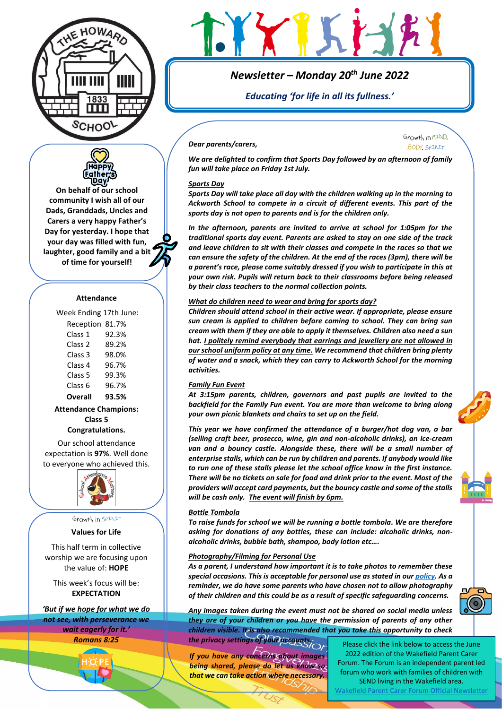



**On behalf of our school community I wish all of our Dads, Granddads, Uncles and Carers a very happy Father's Day for yesterday. I hope that your day was filled with fun, laughter, good family and a bit of time for yourself!**

#### **Attendance**

Week Ending 17th June:

| Reception 81.7%    |       |
|--------------------|-------|
| Class 1            | 92.3% |
| Class 2            | 89.2% |
| Class <sub>3</sub> | 98.0% |
| Class 4            | 96.7% |
| Class 5            | 99.3% |
| Class <sub>6</sub> | 96.7% |
| Overall            | 93.5% |

**Attendance Champions: Class 5**

**Congratulations.**

Our school attendance expectation is **97%**. Well done to everyone who achieved this.



Growth in SPIRIT

**Values for Life**

This half term in collective worship we are focusing upon the value of: **HOPE**

This week's focus will be: **EXPECTATION**

*'But if we hope for what we do not see, with perseverance we wait eagerly for it.' Romans 8:25*





# *Newsletter – Monday 20th June 2022*

*Educating 'for life in all its fullness.'*

#### *Dear parents/carers,*

Growth in MIND. **BODY SPIRIT** 

*We are delighted to confirm that Sports Day followed by an afternoon of family fun will take place on Friday 1st July.* 

#### *Sports Day*

*Sports Day will take place all day with the children walking up in the morning to Ackworth School to compete in a circuit of different events. This part of the sports day is not open to parents and is for the children only.* 

*In the afternoon, parents are invited to arrive at school for 1:05pm for the traditional sports day event. Parents are asked to stay on one side of the track and leave children to sit with their classes and compete in the races so that we can ensure the safety of the children. At the end of the races (3pm), there will be a parent's race, please come suitably dressed if you wish to participate in this at your own risk. Pupils will return back to their classrooms before being released by their class teachers to the normal collection points.* 

#### *What do children need to wear and bring for sports day?*

*Children should attend school in their active wear. If appropriate, please ensure sun cream is applied to children before coming to school. They can bring sun cream with them if they are able to apply it themselves. Children also need a sun hat. I politely remind everybody that earrings and jewellery are not allowed in our school uniform policy at any time. We recommend that children bring plenty of water and a snack, which they can carry to Ackworth School for the morning activities.* 

#### *Family Fun Event*

*At 3:15pm parents, children, governors and past pupils are invited to the backfield for the Family Fun event. You are more than welcome to bring along your own picnic blankets and chairs to set up on the field.* 

*This year we have confirmed the attendance of a burger/hot dog van, a bar (selling craft beer, prosecco, wine, gin and non-alcoholic drinks), an ice-cream van and a bouncy castle. Alongside these, there will be a small number of enterprise stalls, which can be run by children and parents. If anybody would like to run one of these stalls please let the school office know in the first instance. There will be no tickets on sale for food and drink prior to the event. Most of the providers will accept card payments, but the bouncy castle and some of the stalls will be cash only. The event will finish by 6pm.* 

#### *Bottle Tombola*

*To raise funds for school we will be running a bottle tombola. We are therefore asking for donations of any bottles, these can include: alcoholic drinks, nonalcoholic drinks, bubble bath, shampoo, body lotion etc….* 

#### *Photography/Filming for Personal Use*

*As a parent, I understand how important it is to take photos to remember these special occasions. This is acceptable for personal use as stated in ou[r policy.](https://www.ackworthhowardschool.co.uk/sites/default/files/uploads/media/files/photography-and-filming-policy-statement-2022.pdf) As a reminder, we do have some parents who have chosen not to allow photography of their children and this could be as a result of specific safeguarding concerns.* 

*Any images taken during the event must not be shared on social media unless they are of your children or you have the permission of parents of any other children visible. It is also recommended that you take this opportunity to check the privacy settings of your accounts.*

*If you have any concerns about images being shared, please do let us know so that we can take action where necessary.*

Please click the link below to access the June 2022 edition of the Wakefield Parent Carer Forum. The Forum is an independent parent led forum who work with families of children with SEND living in the Wakefield area.

[Wakefield Parent Carer Forum Official Newsletter](https://www.ackworthhowardschool.co.uk/sites/default/files/uploads/media/files/wakefield-parent-carer-forum-newsletter.pdf)